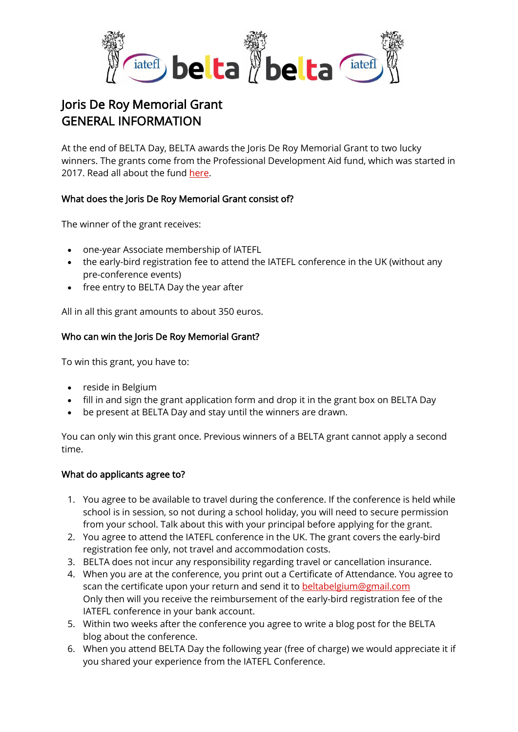

# Joris De Roy Memorial Grant GENERAL INFORMATION

At the end of BELTA Day, BELTA awards the Joris De Roy Memorial Grant to two lucky winners. The grants come from the Professional Development Aid fund, which was started in 2017. Read all about the fund [here.](https://www.beltabelgium.com/professional-development-aid-fund-pda)

# What does the Joris De Roy Memorial Grant consist of?

The winner of the grant receives:

- one-year Associate membership of IATEFL
- the early-bird registration fee to attend the IATEFL conference in the UK (without any pre-conference events)
- free entry to BELTA Day the year after

All in all this grant amounts to about 350 euros.

## Who can win the Joris De Roy Memorial Grant?

To win this grant, you have to:

- reside in Belgium
- fill in and sign the grant application form and drop it in the grant box on BELTA Day
- be present at BELTA Day and stay until the winners are drawn.

You can only win this grant once. Previous winners of a BELTA grant cannot apply a second time.

## What do applicants agree to?

- 1. You agree to be available to travel during the conference. If the conference is held while school is in session, so not during a school holiday, you will need to secure permission from your school. Talk about this with your principal before applying for the grant.
- 2. You agree to attend the IATEFL conference in the UK. The grant covers the early-bird registration fee only, not travel and accommodation costs.
- 3. BELTA does not incur any responsibility regarding travel or cancellation insurance.
- 4. When you are at the conference, you print out a Certificate of Attendance. You agree to scan the certificate upon your return and send it to [beltabelgium@gmail.com](mailto:beltabelgium@gmail.com) Only then will you receive the reimbursement of the early-bird registration fee of the IATEFL conference in your bank account.
- 5. Within two weeks after the conference you agree to write a blog post for the BELTA blog about the conference.
- 6. When you attend BELTA Day the following year (free of charge) we would appreciate it if you shared your experience from the IATEFL Conference.